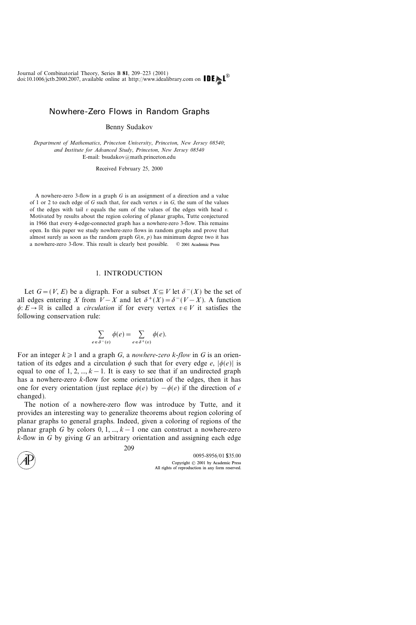# Nowhere-Zero Flows in Random Graphs

Benny Sudakov

Department of Mathematics, Princeton University, Princeton, New Jersey 08540; and Institute for Advanced Study, Princeton, New Jersey 08540 E-mail: bsudakov@math.princeton.edu

Received February 25, 2000

A nowhere-zero 3-flow in a graph G is an assignment of a direction and a value of 1 or 2 to each edge of G such that, for each vertex  $v$  in  $G$ , the sum of the values of the edges with tail  $v$  equals the sum of the values of the edges with head  $v$ . Motivated by results about the region coloring of planar graphs, Tutte conjectured in 1966 that every 4-edge-connected graph has a nowhere-zero 3-flow. This remains open. In this paper we study nowhere-zero flows in random graphs and prove that almost surely as soon as the random graph  $G(n, p)$  has minimum degree two it has a nowhere-zero 3-flow. This result is clearly best possible.  $\circ$  2001 Academic Press

# 1. INTRODUCTION

Let  $G=(V, E)$  be a digraph. For a subset  $X \subseteq V$  let  $\delta^{-}(X)$  be the set of all edges entering X from  $V-X$  and let  $\delta^+(X) = \delta^-(V-X)$ . A function  $\phi: E \to \mathbb{R}$  is called a *circulation* if for every vertex  $v \in V$  it satisfies the following conservation rule:

$$
\sum_{e \in \delta^-(v)} \phi(e) = \sum_{e \in \delta^+(v)} \phi(e).
$$

For an integer  $k \geq 1$  and a graph G, a *nowhere-zero k-flow* in G is an orientation of its edges and a circulation  $\phi$  such that for every edge e,  $|\phi(e)|$  is equal to one of 1, 2, ...,  $k-1$ . It is easy to see that if an undirected graph has a nowhere-zero  $k$ -flow for some orientation of the edges, then it has one for every orientation (just replace  $\phi(e)$  by  $-\phi(e)$ ) if the direction of e changed).

The notion of a nowhere-zero flow was introduce by Tutte, and it provides an interesting way to generalize theorems about region coloring of planar graphs to general graphs. Indeed, given a coloring of regions of the planar graph G by colors 0, 1, ...,  $k-1$  one can construct a nowhere-zero  $k$ -flow in G by giving G an arbitrary orientation and assigning each edge

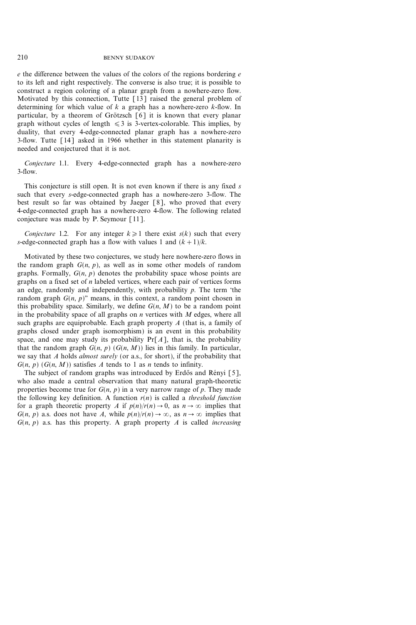$e$  the difference between the values of the colors of the regions bordering  $e$ to its left and right respectively. The converse is also true; it is possible to construct a region coloring of a planar graph from a nowhere-zero flow. Motivated by this connection, Tutte [13] raised the general problem of determining for which value of  $k$  a graph has a nowhere-zero  $k$ -flow. In particular, by a theorem of Grötzsch  $\lceil 6 \rceil$  it is known that every planar graph without cycles of length  $\leq 3$  is 3-vertex-colorable. This implies, by duality, that every 4-edge-connected planar graph has a nowhere-zero 3-flow. Tutte [14] asked in 1966 whether in this statement planarity is needed and conjectured that it is not.

Conjecture 1.1. Every 4-edge-connected graph has a nowhere-zero  $3-flow$ .

This conjecture is still open. It is not even known if there is any fixed  $s$ such that every s-edge-connected graph has a nowhere-zero 3-flow. The best result so far was obtained by Jaeger [8], who proved that every 4-edge-connected graph has a nowhere-zero 4-flow. The following related conjecture was made by P. Seymour [11].

Conjecture 1.2. For any integer  $k\geq 1$  there exist  $s(k)$  such that every s-edge-connected graph has a flow with values 1 and  $(k+1)/k$ .

Motivated by these two conjectures, we study here nowhere-zero flows in the random graph  $G(n, p)$ , as well as in some other models of random graphs. Formally,  $G(n, p)$  denotes the probability space whose points are graphs on a fixed set of  $n$  labeled vertices, where each pair of vertices forms an edge, randomly and independently, with probability  $p$ . The term 'the random graph  $G(n, p)$ " means, in this context, a random point chosen in this probability space. Similarly, we define  $G(n, M)$  to be a random point in the probability space of all graphs on  $n$  vertices with  $M$  edges, where all such graphs are equiprobable. Each graph property  $A$  (that is, a family of graphs closed under graph isomorphism) is an event in this probability space, and one may study its probability  $Pr[A]$ , that is, the probability that the random graph  $G(n, p)$   $(G(n, M))$  lies in this family. In particular, we say that A holds *almost surely* (or a.s., for short), if the probability that  $G(n, p)$   $(G(n, M))$  satisfies A tends to 1 as n tends to infinity.

The subject of random graphs was introduced by Erdős and Rényi [5], who also made a central observation that many natural graph-theoretic properties become true for  $G(n, p)$  in a very narrow range of p. They made the following key definition. A function  $r(n)$  is called a *threshold function* for a graph theoretic property A if  $p(n)/r(n) \to 0$ , as  $n \to \infty$  implies that  $G(n, p)$  a.s. does not have A, while  $p(n)/r(n) \to \infty$ , as  $n \to \infty$  implies that  $G(n, p)$  a.s. has this property. A graph property A is called *increasing*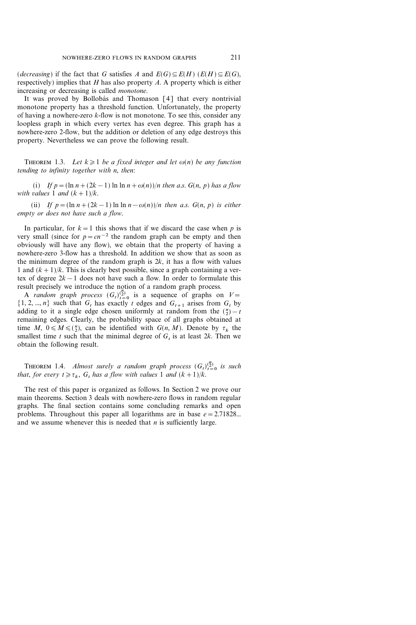(decreasing) if the fact that G satisfies A and  $E(G) \subseteq E(H)$  ( $E(H) \subseteq E(G)$ , respectively) implies that  $H$  has also property  $A$ . A property which is either increasing or decreasing is called monotone.

It was proved by Bollobás and Thomason [4] that every nontrivial monotone property has a threshold function. Unfortunately, the property of having a nowhere-zero  $k$ -flow is not monotone. To see this, consider any loopless graph in which every vertex has even degree. This graph has a nowhere-zero 2-flow, but the addition or deletion of any edge destroys this property. Nevertheless we can prove the following result.

THEOREM 1.3. Let  $k \geq 1$  be a fixed integer and let  $\omega(n)$  be any function tending to infinity together with n, then:

(i) If  $p=(\ln n+(2k-1) \ln \ln n+\omega(n))/n$  then a.s.  $G(n, p)$  has a flow with values 1 and  $(k+1)/k$ .

(ii) If  $p = (\ln n + (2k-1) \ln \ln n - \omega(n))/n$  then a.s.  $G(n, p)$  is either empty or does not have such a flow.

In particular, for  $k=1$  this shows that if we discard the case when p is very small (since for  $p=cn^{-2}$  the random graph can be empty and then obviously will have any flow), we obtain that the property of having a nowhere-zero 3-flow has a threshold. In addition we show that as soon as the minimum degree of the random graph is  $2k$ , it has a flow with values 1 and  $(k+1)/k$ . This is clearly best possible, since a graph containing a vertex of degree  $2k-1$  does not have such a flow. In order to formulate this result precisely we introduce the notion of a random graph process.

A random graph process  $(G_t)_{t=0}^{(2)}$  is a sequence of graphs on  $V=$  $\{1, 2, ..., n\}$  such that  $G_t$  has exactly t edges and  $G_{t+1}$  arises from  $G_t$  by adding to it a single edge chosen uniformly at random from the  $\binom{n}{2} - t$ remaining edges. Clearly, the probability space of all graphs obtained at time M,  $0 \le M \le \binom{n}{2}$ , can be identified with  $G(n, M)$ . Denote by  $\tau_k$  the smallest time t such that the minimal degree of  $G$ , is at least  $2k$ . Then we obtain the following result.

**THEOREM** 1.4. Almost surely a random graph process  $(G_t)_{t=0}^{n \choose 2}$  is such that, for every  $t \ge \tau_k$ , G, has a flow with values 1 and  $(k+1)/k$ .

The rest of this paper is organized as follows. In Section 2 we prove our main theorems. Section 3 deals with nowhere-zero flows in random regular graphs. The final section contains some concluding remarks and open problems. Throughout this paper all logarithms are in base  $e = 2.71828...$ and we assume whenever this is needed that  $n$  is sufficiently large.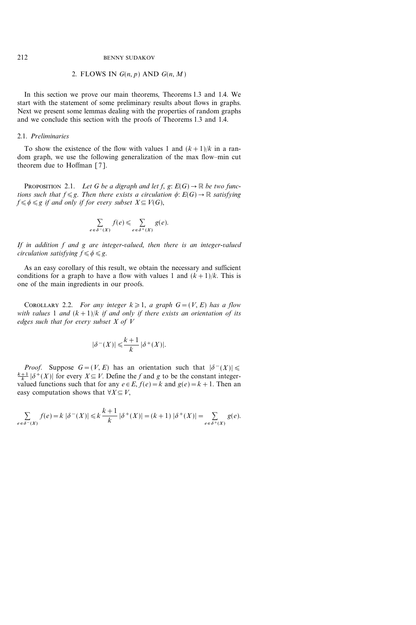# 2. FLOWS IN  $G(n, p)$  AND  $G(n, M)$

In this section we prove our main theorems, Theorems 1.3 and 1.4. We start with the statement of some preliminary results about flows in graphs. Next we present some lemmas dealing with the properties of random graphs and we conclude this section with the proofs of Theorems 1.3 and 1.4.

#### 2.1. Preliminaries

To show the existence of the flow with values 1 and  $(k+1)/k$  in a random graph, we use the following generalization of the max flow-min cut theorem due to Hoffman [7].

PROPOSITION 2.1. Let G be a digraph and let f,  $g: E(G) \to \mathbb{R}$  be two functions such that  $f \le g$ . Then there exists a circulation  $\phi: E(G) \to \mathbb{R}$  satisfying  $f \leq \phi \leq g$  if and only if for every subset  $X \subseteq V(G)$ ,

$$
\sum_{e \in \delta^-(X)} f(e) \leq \sum_{e \in \delta^+(X)} g(e).
$$

If in addition f and g are integer-valued, then there is an integer-valued circulation satisfying  $f \le \phi \le g$ .

As an easy corollary of this result, we obtain the necessary and sufficient conditions for a graph to have a flow with values 1 and  $(k+1)/k$ . This is one of the main ingredients in our proofs.

COROLLARY 2.2. For any integer  $k \geq 1$ , a graph  $G=(V, E)$  has a flow with values 1 and  $(k+1)/k$  if and only if there exists an orientation of its edges such that for every subset  $X$  of  $V$ 

$$
|\delta^-(X)| \leqslant \frac{k+1}{k} |\delta^+(X)|.
$$

*Proof.* Suppose  $G = (V, E)$  has an orientation such that  $|\delta(x)| \le$  $\frac{k+1}{k}$  | $\delta^+(X)$ | for every  $X \subseteq V$ . Define the f and g to be the constant integervalued functions such that for any  $e \in E$ ,  $f(e) = k$  and  $g(e) = k + 1$ . Then an easy computation shows that  $\forall X \subseteq V$ ,

$$
\sum_{e \in \delta^{-}(X)} f(e) = k \left| \delta^{-}(X) \right| \leq k \frac{k+1}{k} \left| \delta^{+}(X) \right| = (k+1) \left| \delta^{+}(X) \right| = \sum_{e \in \delta^{+}(X)} g(e).
$$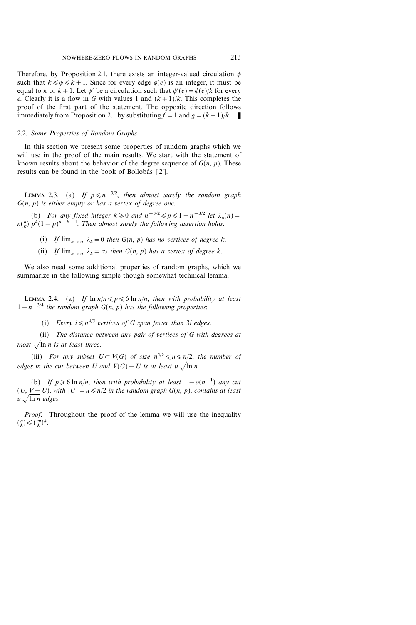Therefore, by Proposition 2.1, there exists an integer-valued circulation  $\phi$ such that  $k \le \phi \le k+1$ . Since for every edge  $\phi(e)$  is an integer, it must be equal to k or  $k+1$ . Let  $\phi'$  be a circulation such that  $\phi'(e)=\phi(e)/k$  for every e. Clearly it is a flow in G with values 1 and  $(k+1)/k$ . This completes the proof of the first part of the statement. The opposite direction follows immediately from Proposition 2.1 by substituting  $f = 1$  and  $g = (k+1)/k$ .

# 2.2. Some Properties of Random Graphs

In this section we present some properties of random graphs which we will use in the proof of the main results. We start with the statement of known results about the behavior of the degree sequence of  $G(n, p)$ . These results can be found in the book of Bollobás [2].

LEMMA 2.3. (a) If  $p \le n^{-3/2}$ , then almost surely the random graph  $G(n, p)$  is either empty or has a vertex of degree one.

(b) For any fixed integer  $k \geqslant 0$  and  $n^{-3/2} \leqslant p \leqslant 1 - n^{-3/2}$  let  $\lambda_k(n) =$  $n\binom{n}{k} p^k (1-p)^{n-k-1}$ . Then almost surely the following assertion holds.

- (i) If  $\lim_{n\to\infty} \lambda_k=0$  then  $G(n, p)$  has no vertices of degree k.
- (ii) If  $\lim_{n\to\infty} \lambda_k = \infty$  then  $G(n, p)$  has a vertex of degree k.

We also need some additional properties of random graphs, which we summarize in the following simple though somewhat technical lemma.

LEMMA 2.4. (a) If  $\ln n/n \leq p \leq 6 \ln n/n$ , then with probability at least  $1-n^{-3/4}$  the random graph  $G(n, p)$  has the following properties:

(i) Every  $i \leq n^{4/5}$  vertices of G span fewer than 3i edges.

(ii) The distance between any pair of vertices of  $G$  with degrees at most  $\sqrt{\ln n}$  is at least three.

(iii) For any subset  $U \subset V(G)$  of size  $n^{4/5} \leq u \leq n/2$ , the number of edges in the cut between U and  $V(G) - U$  is at least  $u \sqrt{\ln n}$ .

(b) If  $p \ge 6$  ln n/n, then with probability at least  $1-o(n^{-1})$  any cut  $(U, V-U)$ , with  $|U| = u \le n/2$  in the random graph  $G(n, p)$ , contains at least  $u \sqrt{\ln n}$  edges.

Proof. Throughout the proof of the lemma we will use the inequality  $\binom{n}{k} \leqslant \left(\frac{en}{k}\right)^k$ .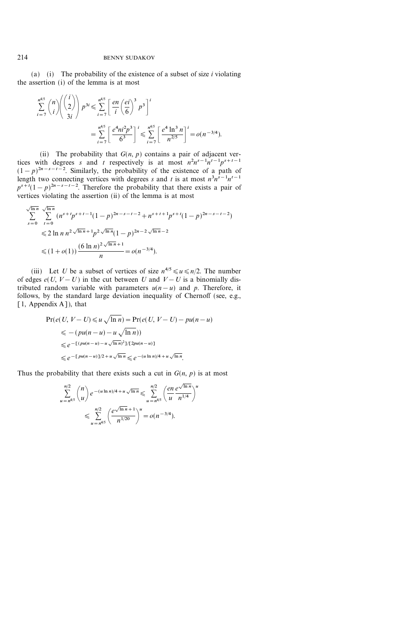(a) (i) The probability of the existence of a subset of size  $i$  violating the assertion (i) of the lemma is at most

$$
\sum_{i=7}^{n^{4/5}} {n \choose i} \left( {i \choose 2} \right) p^{3i} \leq \sum_{i=7}^{n^{4/5}} \left[ \frac{en}{i} \left( \frac{ei}{6} \right)^3 p^3 \right]^i
$$
  
= 
$$
\sum_{i=7}^{n^{4/5}} \left[ \frac{e^4 n i^2 p^3}{6^3} \right]^i \leq \sum_{i=7}^{n^{4/5}} \left[ \frac{e^4 \ln^3 n}{n^{2/5}} \right]^i = o(n^{-3/4}).
$$

(ii) The probability that  $G(n, p)$  contains a pair of adjacent vertices with degrees s and t respectively is at most  $n^2n^{s-1}n^{t-1}p^{s+t-1}$  $(1-p)^{2n-s-t-2}$ . Similarly, the probability of the existence of a path of length two connecting vertices with degrees s and t is at most  $n^3 n^{s-1} n^{t-1}$  $p^{s+t}(1-p)^{2n-s-t-2}$ . Therefore the probability that there exists a pair of vertices violating the assertion (ii) of the lemma is at most

$$
\sum_{s=0}^{\sqrt{\ln n}} \sum_{t=0}^{\sqrt{\ln n}} (n^{s+t} p^{s+t-1} (1-p)^{2n-s-t-2} + n^{s+t+1} p^{s+t} (1-p)^{2n-s-t-2})
$$
  

$$
\leq 2 \ln n n^{2 \sqrt{\ln n} + 1} p^{2 \sqrt{\ln n}} (1-p)^{2n-2 \sqrt{\ln n} - 2}
$$
  

$$
\leq (1+o(1)) \frac{(6 \ln n)^{2 \sqrt{\ln n} + 1}}{n} = o(n^{-3/4}).
$$

(iii) Let U be a subset of vertices of size  $n^{4/5} \le u \le n/2$ . The number of edges  $e(U, V-U)$  in the cut between U and  $V-U$  is a binomially distributed random variable with parameters  $u(n-u)$  and p. Therefore, it follows, by the standard large deviation inequality of Chernoff (see, e.g.,  $[1,$  Appendix A]), that

$$
\Pr(e(U, V - U) \le u \sqrt{\ln n}) = \Pr(e(U, V - U) - pu(n - u)
$$
  
\n
$$
\le -(pu(n - u) - u \sqrt{\ln n})
$$
  
\n
$$
\le e^{-[(pu(n - u) - u \sqrt{\ln n})^2]/[2pu(n - u)]}
$$
  
\n
$$
\le e^{-[pu(n - u)]/2 + u \sqrt{\ln n}} \le e^{-(u \ln n)/4 + u \sqrt{\ln n}}.
$$

Thus the probability that there exists such a cut in  $G(n, p)$  is at most

$$
\sum_{u=n^{4/5}}^{n/2} {n \choose u} e^{-(u \ln n)/4 + u \sqrt{\ln n}} \leqslant \sum_{u=n^{4/5}}^{n/2} \left( \frac{en}{u} \frac{e^{\sqrt{\ln n}}}{n^{1/4}} \right)^u
$$
  

$$
\leqslant \sum_{u=n^{4/5}}^{n/2} \left( \frac{e^{\sqrt{\ln n} + 1}}{n^{1/20}} \right)^u = o(n^{-3/4}).
$$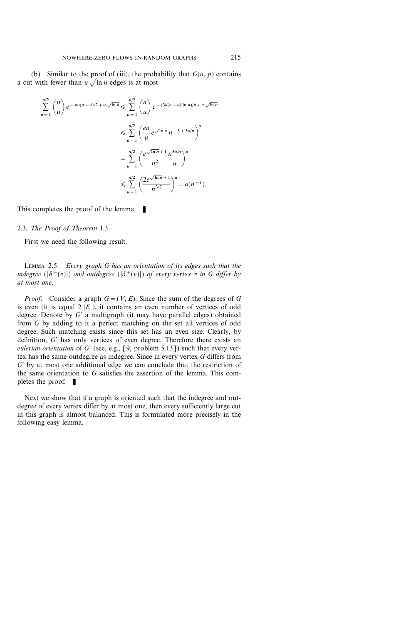(b) Similar to the proof of (iii), the probability that  $G(n, p)$  contains a cut with fewer than  $u \sqrt{\ln n}$  edges is at most

$$
\sum_{u=1}^{n/2} {n \choose u} e^{-pu(n-u)/2 + u\sqrt{\ln n}} \leq \sum_{u=1}^{n/2} {n \choose u} e^{-(3u(n-u)\ln n)/n + u\sqrt{\ln n}}
$$
  

$$
\leq \sum_{u=1}^{n/2} \left( \frac{en}{u} e^{\sqrt{\ln n}} n^{-3 + 3u/n} \right)^u
$$
  

$$
= \sum_{u=1}^{n/2} \left( \frac{e^{\sqrt{\ln n} + 1}}{n^2} \frac{n^{3u/n}}{u} \right)^u
$$
  

$$
\leq \sum_{u=1}^{n/2} \left( \frac{2e^{\sqrt{\ln n} + 1}}{n^{3/2}} \right)^u = o(n^{-1}).
$$

This completes the proof of the lemma.  $\blacksquare$ 

#### 2.3. The Proof of Theorem 1.3

First we need the following result.

Lemma 2.5. Every graph G has an orientation of its edges such that the indegree ( $|\delta^-(v)|$ ) and outdegree ( $|\delta^+(v)|$ ) of every vertex v in G differ by at most one.

*Proof.* Consider a graph  $G=(V, E)$ . Since the sum of the degrees of G is even (it is equal  $2 |E|$ ), it contains an even number of vertices of odd degree. Denote by  $G'$  a multigraph (it may have parallel edges) obtained from G by adding to it a perfect matching on the set all vertices of odd degree. Such matching exists since this set has an even size. Clearly, by definition,  $G'$  has only vertices of even degree. Therefore there exists an eulerian orientation of G' (see, e.g., [9, problem 5.13]) such that every vertex has the same outdegree as indegree. Since in every vertex G differs from  $G'$  by at most one additional edge we can conclude that the restriction of the same orientation to  $G$  satisfies the assertion of the lemma. This completes the proof.  $\blacksquare$ 

Next we show that if a graph is oriented such that the indegree and outdegree of every vertex differ by at most one, then every sufficiently large cut in this graph is almost balanced. This is formulated more precisely in the following easy lemma.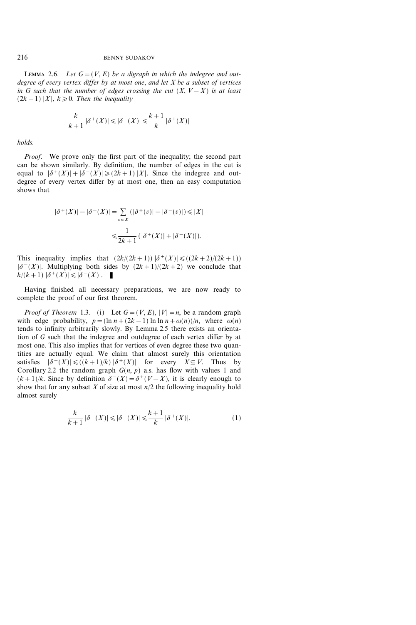#### 216 BENNY SUDAKOV

LEMMA 2.6. Let  $G=(V, E)$  be a digraph in which the indegree and outdegree of every vertex differ by at most one, and let  $X$  be a subset of vertices in G such that the number of edges crossing the cut  $(X, V - X)$  is at least  $(2k+1)$  |X|,  $k\geqslant0$ . Then the inequality

$$
\frac{k}{k+1} |\delta^+(X)| \leqslant |\delta^-(X)| \leqslant \frac{k+1}{k} |\delta^+(X)|
$$

holds.

*Proof.* We prove only the first part of the inequality; the second part can be shown similarly. By definition, the number of edges in the cut is equal to  $|\delta^+(X)| + |\delta^-(X)| \geq (2k+1) |X|$ . Since the indegree and outdegree of every vertex differ by at most one, then an easy computation shows that

$$
|\delta^+(X)| - |\delta^-(X)| = \sum_{v \in X} (|\delta^+(v)| - |\delta^-(v)|) \le |X|
$$
  

$$
\le \frac{1}{2k+1} (|\delta^+(X)| + |\delta^-(X)|).
$$

This inequality implies that  $(2k/(2k+1)) |\delta^+(X)| \leq (2k+2)/(2k+1)$  $|\delta(x) - (X)|$ . Multiplying both sides by  $(2k+1)/(2k+2)$  we conclude that  $k/(k+1)$   $|\delta^+(X)| \leq |\delta^-(X)|$ .

Having finished all necessary preparations, we are now ready to complete the proof of our first theorem.

*Proof of Theorem 1.3.* (i) Let  $G=(V, E), |V|=n$ , be a random graph with edge probability,  $p = (\ln n + (2k-1) \ln \ln n + \omega(n))/n$ , where  $\omega(n)$ tends to infinity arbitrarily slowly. By Lemma 2.5 there exists an orientation of G such that the indegree and outdegree of each vertex differ by at most one. This also implies that for vertices of even degree these two quantities are actually equal. We claim that almost surely this orientation satisfies  $|\delta^-(X)| \leq (k+1)/k |\delta^+(X)|$  for every  $X \subseteq V$ . Thus by Corollary 2.2 the random graph  $G(n, p)$  a.s. has flow with values 1 and  $(k+1)/k$ . Since by definition  $\delta^{-}(X) = \delta^{+}(V-X)$ , it is clearly enough to show that for any subset X of size at most  $n/2$  the following inequality hold almost surely

$$
\frac{k}{k+1} |\delta^+(X)| \le |\delta^-(X)| \le \frac{k+1}{k} |\delta^+(X)|. \tag{1}
$$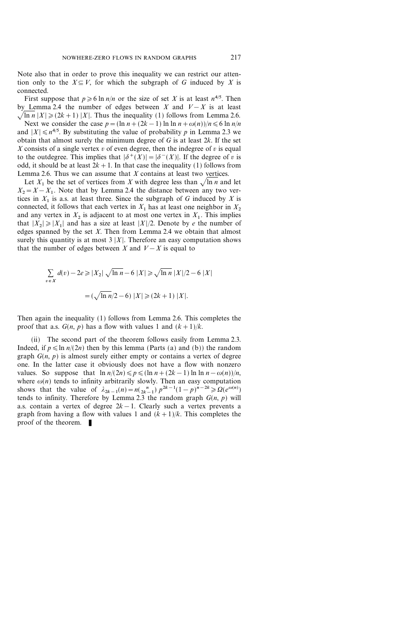Note also that in order to prove this inequality we can restrict our attention only to the  $X \subseteq V$ , for which the subgraph of G induced by X is connected.

First suppose that  $p \ge 6 \ln n/n$  or the size of set X is at least  $n^{4/5}$ . Then by Lemma 2.4 the number of edges between X and  $V-X$  is at least  $\sqrt{\ln n}$   $|X| \ge (2k+1)$   $|X|$ . Thus the inequality (1) follows from Lemma 2.6.

Next we consider the case  $p = (\ln n + (2k-1) \ln \ln n + \omega(n))/n \leq 6 \ln n/n$ and  $|X| \le n^{4/5}$ . By substituting the value of probability p in Lemma 2.3 we obtain that almost surely the minimum degree of  $G$  is at least  $2k$ . If the set X consists of a single vertex v of even degree, then the indegree of v is equal to the outdegree. This implies that  $|\delta^+(X)|=|\delta^-(X)|$ . If the degree of v is odd, it should be at least  $2k+1$ . In that case the inequality (1) follows from Lemma 2.6. Thus we can assume that  $X$  contains at least two vertices.

Let  $X_1$  be the set of vertices from X with degree less than  $\sqrt{\ln n}$  and let  $X_2=X-X_1$ . Note that by Lemma 2.4 the distance between any two vertices in  $X_1$  is a.s. at least three. Since the subgraph of G induced by X is connected, it follows that each vertex in  $X_1$  has at least one neighbor in  $X_2$ and any vertex in  $X_2$  is adjacent to at most one vertex in  $X_1$ . This implies that  $|X_2| \ge |X_1|$  and has a size at least  $|X|/2$ . Denote by e the number of edges spanned by the set  $X$ . Then from Lemma 2.4 we obtain that almost surely this quantity is at most  $3 |X|$ . Therefore an easy computation shows that the number of edges between X and  $V - X$  is equal to

$$
\sum_{v \in X} d(v) - 2e \ge |X_2| \sqrt{\ln n} - 6 |X| \ge \sqrt{\ln n} |X|/2 - 6 |X|
$$
  
=  $(\sqrt{\ln n}/2 - 6) |X| \ge (2k + 1) |X|$ .

Then again the inequality (1) follows from Lemma 2.6. This completes the proof that a.s.  $G(n, p)$  has a flow with values 1 and  $(k+1)/k$ .

(ii) The second part of the theorem follows easily from Lemma 2.3. Indeed, if  $p \leq \ln n/(2n)$  then by this lemma (Parts (a) and (b)) the random graph  $G(n, p)$  is almost surely either empty or contains a vertex of degree one. In the latter case it obviously does not have a flow with nonzero values. So suppose that  $\ln n/(2n) \leq p \leq (\ln n+(2k-1) \ln \ln n-\omega(n))/n$ , where  $\omega(n)$  tends to infinity arbitrarily slowly. Then an easy computation shows that the value of  $\lambda_{2k-1}(n) = n(\frac{n}{2k-1}) p^{2k-1}(1-p)^{n-2k} \ge \Omega(e^{\omega(n)})$ tends to infinity. Therefore by Lemma 2.3 the random graph  $G(n, p)$  will a.s. contain a vertex of degree  $2k-1$ . Clearly such a vertex prevents a graph from having a flow with values 1 and  $(k+1)/k$ . This completes the proof of the theorem.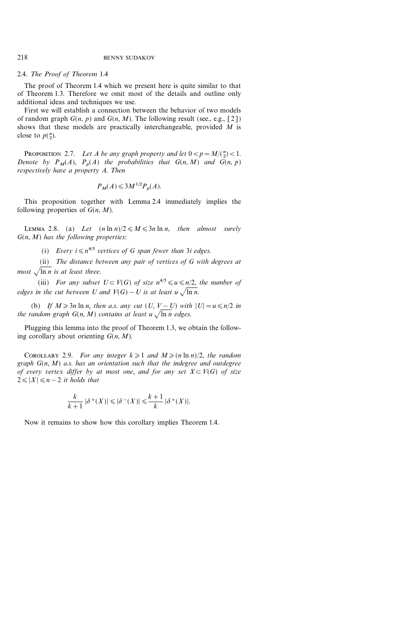# 2.4. The Proof of Theorem 1.4

The proof of Theorem 1.4 which we present here is quite similar to that of Theorem 1.3. Therefore we omit most of the details and outline only additional ideas and techniques we use.

First we will establish a connection between the behavior of two models of random graph  $G(n, p)$  and  $G(n, M)$ . The following result (see., e.g., [2]) shows that these models are practically interchangeable, provided  $M$  is close to  $p(\frac{n}{2})$ .

PROPOSITION 2.7. Let A be any graph property and let  $0 < p = M/{\binom{n}{2}} < 1$ . Denote by  $P_M(A)$ ,  $P_n(A)$  the probabilities that  $G(n, M)$  and  $G(n, p)$ respectively have a property A. Then

$$
P_M(A) \leqslant 3M^{1/2} P_p(A).
$$

This proposition together with Lemma 2.4 immediately implies the following properties of  $G(n, M)$ .

LEMMA 2.8. (a) Let  $(n \ln n)/2 \leq M \leq 3n \ln n$ , then almost surely  $G(n, M)$  has the following properties:

(i) Every  $i \leq n^{4/5}$  vertices of G span fewer than 3i edges.

(ii) The distance between any pair of vertices of G with degrees at most  $\sqrt{\ln n}$  is at least three.

(iii) For any subset  $U \subset V(G)$  of size  $n^{4/5} \leq u \leq n/2$ , the number of edges in the cut between U and  $V(G) - U$  is at least u  $\sqrt{\ln n}$ .

(b) If  $M \ge 3n \ln n$ , then a.s. any cut  $(U, V-U)$  with  $|U|=u \le n/2$  in the random graph  $G(n, M)$  contains at least  $u \sqrt{\ln n}$  edges.

Plugging this lemma into the proof of Theorem 1.3, we obtain the following corollary about orienting  $G(n, M)$ .

COROLLARY 2.9. For any integer  $k \geq 1$  and  $M \geq (n \ln n)/2$ , the random graph  $G(n, M)$  a.s. has an orientation such that the indegree and outdegree of every vertex differ by at most one, and for any set  $X \subset V(G)$  of size  $2 \leq |X| \leq n-2$  it holds that

$$
\frac{k}{k+1} |\delta^+(X)| \leqslant |\delta^-(X)| \leqslant \frac{k+1}{k} |\delta^+(X)|.
$$

Now it remains to show how this corollary implies Theorem 1.4.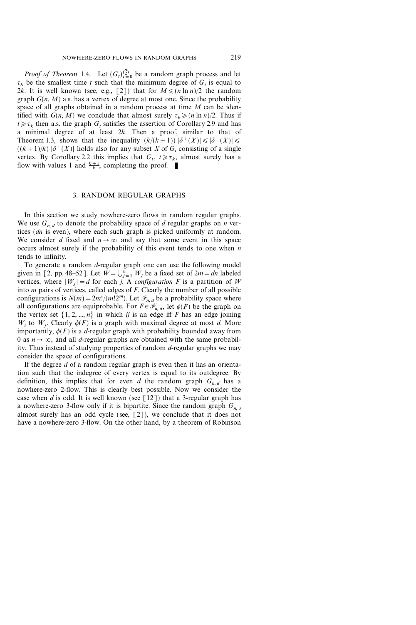*Proof of Theorem* 1.4. Let  $(G_t)_{t=0}^{n \choose 2}$  be a random graph process and let  $\tau_k$  be the smallest time t such that the minimum degree of  $G_t$  is equal to 2k. It is well known (see, e.g., [2]) that for  $M \leq (n \ln n)/2$  the random graph  $G(n, M)$  a.s. has a vertex of degree at most one. Since the probability space of all graphs obtained in a random process at time  $M$  can be identified with  $G(n, M)$  we conclude that almost surely  $\tau_k \geq (n \ln n)/2$ . Thus if  $t \geq \tau_k$  then a.s. the graph  $G_t$  satisfies the assertion of Corollary 2.9 and has a minimal degree of at least  $2k$ . Then a proof, similar to that of Theorem 1.3, shows that the inequality  $(k/(k+1)) |\delta^+(X)| \le |\delta^-(X)| \le$  $((k+1)/k)$   $|\delta^+(X)|$  holds also for any subset X of G, consisting of a single vertex. By Corollary 2.2 this implies that  $G_t$ ,  $t \ge \tau_k$ , almost surely has a flow with values 1 and  $\frac{k+1}{k}$ , completing the proof.

## 3. RANDOM REGULAR GRAPHS

In this section we study nowhere-zero flows in random regular graphs. We use  $G_{n,d}$  to denote the probability space of d regular graphs on n vertices (dn is even), where each such graph is picked uniformly at random. We consider d fixed and  $n \to \infty$  and say that some event in this space occurs almost surely if the probability of this event tends to one when  $n$ tends to infinity.

To generate a random  $d$ -regular graph one can use the following model given in [2, pp. 48–52]. Let  $W = \bigcup_{j=1}^{n} W_j$  be a fixed set of  $2m = dn$  labeled vertices, where  $|W_i| = d$  for each j. A *configuration* F is a partition of W into  $m$  pairs of vertices, called edges of  $F$ . Clearly the number of all possible configurations is  $N(m) = 2m!/(m!2^m)$ . Let  $\mathcal{F}_{n,d}$  be a probability space where all configurations are equiprobable. For  $F \in \mathscr{F}_{n,d}$ , let  $\phi(F)$  be the graph on the vertex set  $\{1, 2, ..., n\}$  in which *ij* is an edge iff F has an edge joining  $W_i$  to  $W_j$ . Clearly  $\phi(F)$  is a graph with maximal degree at most d. More importantly,  $\phi(F)$  is a d-regular graph with probability bounded away from 0 as  $n \to \infty$ , and all *d*-regular graphs are obtained with the same probability. Thus instead of studying properties of random  $d$ -regular graphs we may consider the space of configurations.

If the degree  $d$  of a random regular graph is even then it has an orientation such that the indegree of every vertex is equal to its outdegree. By definition, this implies that for even d the random graph  $G_{n,d}$  has a nowhere-zero 2-flow. This is clearly best possible. Now we consider the case when d is odd. It is well known (see [12]) that a 3-regular graph has a nowhere-zero 3-flow only if it is bipartite. Since the random graph  $G_n$ , 3 almost surely has an odd cycle (see, [2]), we conclude that it does not have a nowhere-zero 3-flow. On the other hand, by a theorem of Robinson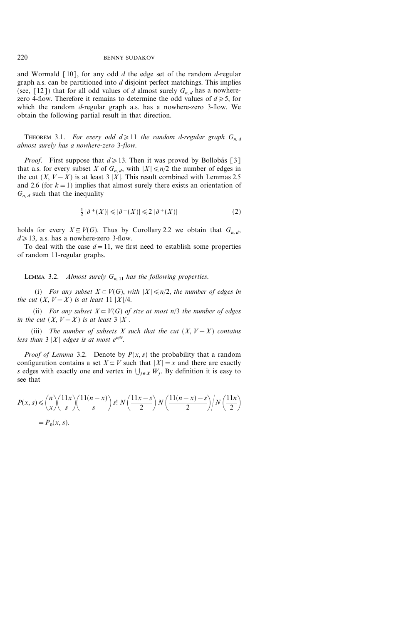and Wormald  $\lceil 10 \rceil$ , for any odd d the edge set of the random d-regular graph a.s. can be partitioned into  $d$  disjoint perfect matchings. This implies (see, [12]) that for all odd values of d almost surely  $G_{n,d}$  has a nowherezero 4-flow. Therefore it remains to determine the odd values of  $d \ge 5$ , for which the random *d*-regular graph a.s. has a nowhere-zero 3-flow. We obtain the following partial result in that direction.

THEOREM 3.1. For every odd  $d \geq 11$  the random d-regular graph  $G_{n,d}$ almost surely has a nowhere-zero 3-flow.

*Proof.* First suppose that  $d \ge 13$ . Then it was proved by Bollobás [3] that a.s. for every subset X of  $G_{n,d}$ , with  $|X| \le n/2$  the number of edges in the cut  $(X, V-X)$  is at least 3 |X|. This result combined with Lemmas 2.5 and 2.6 (for  $k=1$ ) implies that almost surely there exists an orientation of  $G_{n,d}$  such that the inequality

$$
\frac{1}{2} |\delta^+(X)| \leqslant |\delta^-(X)| \leqslant 2 |\delta^+(X)| \tag{2}
$$

holds for every  $X \subseteq V(G)$ . Thus by Corollary 2.2 we obtain that  $G_{n,d}$ ,  $d \geq 13$ , a.s. has a nowhere-zero 3-flow.

To deal with the case  $d=11$ , we first need to establish some properties of random 11-regular graphs.

LEMMA 3.2. Almost surely  $G_{n, 11}$  has the following properties.

(i) For any subset  $X \subset V(G)$ , with  $|X| \le n/2$ , the number of edges in the cut  $(X, V-X)$  is at least 11  $|X|/4$ .

(ii) For any subset  $X \subseteq V(G)$  of size at most n/3 the number of edges in the cut  $(X, V-X)$  is at least 3 |X|.

(iii) The number of subsets X such that the cut  $(X, V - X)$  contains less than  $3 |X|$  edges is at most  $e^{n/9}$ .

*Proof of Lemma* 3.2. Denote by  $P(x, s)$  the probability that a random configuration contains a set  $X \subset V$  such that  $|X| = x$  and there are exactly s edges with exactly one end vertex in  $\bigcup_{i \in X} W_i$ . By definition it is easy to see that

$$
P(x, s) \leq {n \choose x} \left(\frac{11x}{s}\right) {11(n-x) \choose s} s! N\left(\frac{11x-s}{2}\right) N\left(\frac{11(n-x)-s}{2}\right) / N\left(\frac{11n}{2}\right)
$$

$$
= P_0(x, s).
$$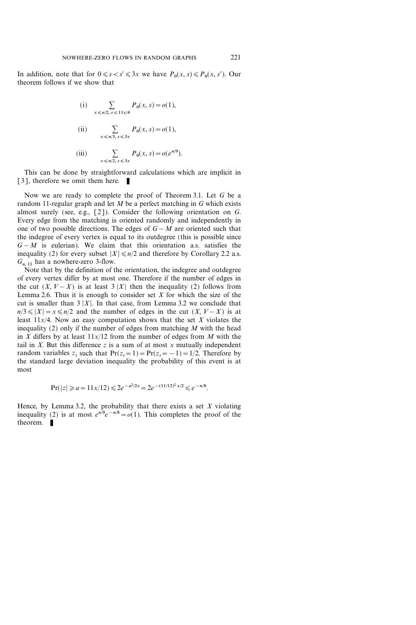In addition, note that for  $0 \le s < s' \le 3x$  we have  $P_0(x, s) \le P_0(x, s')$ . Our theorem follows if we show that

(i) 
$$
\sum_{x \le n/2, s \le 11x/4} P_0(x, s) = o(1),
$$
  
\n(ii) 
$$
\sum_{x \le n/3, s \le 3x} P_0(x, s) = o(1),
$$
  
\n(iii) 
$$
\sum_{x \le n/2, s \le 3x} P_0(x, s) = o(e^{n/9}).
$$

This can be done by straightforward calculations which are implicit in [3], therefore we omit them here.  $\blacksquare$ 

Now we are ready to complete the proof of Theorem 3.1. Let G be a random 11-regular graph and let  $M$  be a perfect matching in  $G$  which exists almost surely (see, e.g.,  $[2]$ ). Consider the following orientation on G. Every edge from the matching is oriented randomly and independently in one of two possible directions. The edges of  $G-M$  are oriented such that the indegree of every vertex is equal to its outdegree (this is possible since  $G-M$  is eulerian). We claim that this orientation a.s. satisfies the inequality (2) for every subset  $|X| \le n/2$  and therefore by Corollary 2.2 a.s.  $G_{n,11}$  has a nowhere-zero 3-flow.

Note that by the definition of the orientation, the indegree and outdegree of every vertex differ by at most one. Therefore if the number of edges in the cut  $(X, V-X)$  is at least 3 |X| then the inequality (2) follows from Lemma 2.6. Thus it is enough to consider set  $X$  for which the size of the cut is smaller than  $3 |X|$ . In that case, from Lemma 3.2 we conclude that  $n/3 \leq |X| = x \leq n/2$  and the number of edges in the cut  $(X, V - X)$  is at least  $11x/4$ . Now an easy computation shows that the set X violates the inequality (2) only if the number of edges from matching  $M$  with the head in X differs by at least  $11x/12$  from the number of edges from M with the tail in  $X$ . But this difference  $z$  is a sum of at most  $x$  mutually independent random variables  $z_i$  such that  $Pr(z_i=1)=Pr(z_i=-1)=1/2$ . Therefore by the standard large deviation inequality the probability of this event is at most

$$
\Pr(|z| \ge a = 11x/12) \le 2e^{-a^2/2x} = 2e^{-(11/12)^2 \cdot x/2} \le e^{-n/8}.
$$

Hence, by Lemma 3.2, the probability that there exists a set  $X$  violating inequality (2) is at most  $e^{n/9}e^{-n/8} = o(1)$ . This completes the proof of the theorem.  $\blacksquare$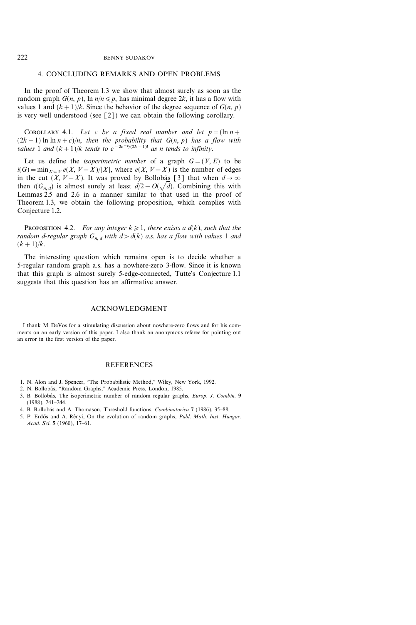# 4. CONCLUDING REMARKS AND OPEN PROBLEMS

In the proof of Theorem 1.3 we show that almost surely as soon as the random graph  $G(n, p)$ , ln  $n/n \leq p$ , has minimal degree 2k, it has a flow with values 1 and  $(k+1)/k$ . Since the behavior of the degree sequence of  $G(n, p)$ is very well understood (see [2]) we can obtain the following corollary.

COROLLARY 4.1. Let c be a fixed real number and let  $p = (\ln n +$  $(2k-1)$  ln ln  $n+c$ )/n, then the probability that  $G(n, p)$  has a flow with values 1 and  $(k+1)/k$  tends to  $e^{-2e^{-c}/(2k-1)!}$  as n tends to infinity.

Let us define the *isoperimetric number* of a graph  $G=(V, E)$  to be  $i(G) = min_{X \subset V} e(X, V - X) / |X|$ , where  $e(X, V - X)$  is the number of edges in the cut  $(X, V-X)$ . It was proved by Bollobás [3] that when  $d \rightarrow \infty$ then  $i(G_{n,d})$  is almost surely at least  $d/2-O(\sqrt{d})$ . Combining this with Lemmas 2.5 and 2.6 in a manner similar to that used in the proof of Theorem 1.3, we obtain the following proposition, which complies with Conjecture 1.2.

PROPOSITION 4.2. For any integer  $k\geqslant1$ , there exists a d(k), such that the random d-regular graph  $G_{n,d}$  with  $d>d(k)$  a.s. has a flow with values 1 and  $(k+1)/k$ .

The interesting question which remains open is to decide whether a 5-regular random graph a.s. has a nowhere-zero 3-flow. Since it is known that this graph is almost surely 5-edge-connected, Tutte's Conjecture 1.1 suggests that this question has an affirmative answer.

## ACKNOWLEDGMENT

I thank M. DeVos for a stimulating discussion about nowhere-zero flows and for his comments on an early version of this paper. I also thank an anonymous referee for pointing out an error in the first version of the paper.

### **REFERENCES**

- 1. N. Alon and J. Spencer, "The Probabilistic Method," Wiley, New York, 1992.
- 2. N. Bollobás, "Random Graphs," Academic Press, London, 1985.
- 3. B. Bollobás, The isoperimetric number of random regular graphs, *Europ. J. Combin.* 9  $(1988), 241 - 244.$
- 4. B. Bollobás and A. Thomason, Threshold functions, *Combinatorica* 7 (1986), 35–88.
- 5. P. Erdős and A. Rényi, On the evolution of random graphs, *Publ. Math. Inst. Hungar.* Acad. Sci. 5 (1960), 17-61.